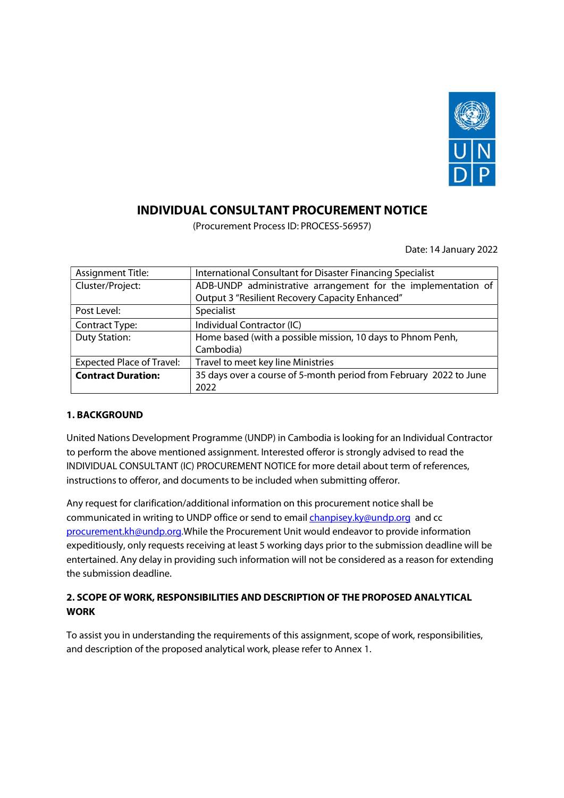

# INDIVIDUAL CONSULTANT PROCUREMENT NOTICE

(Procurement Process ID: PROCESS-56957)

|                                  | Date: 14 January 2022                                              |
|----------------------------------|--------------------------------------------------------------------|
| <b>Assignment Title:</b>         | International Consultant for Disaster Financing Specialist         |
| Cluster/Project:                 | ADB-UNDP administrative arrangement for the implementation of      |
|                                  | Output 3 "Resilient Recovery Capacity Enhanced"                    |
| Post Level:                      | Specialist                                                         |
| <b>Contract Type:</b>            | Individual Contractor (IC)                                         |
| <b>Duty Station:</b>             | Home based (with a possible mission, 10 days to Phnom Penh,        |
|                                  | Cambodia)                                                          |
| <b>Expected Place of Travel:</b> | Travel to meet key line Ministries                                 |
| <b>Contract Duration:</b>        | 35 days over a course of 5-month period from February 2022 to June |
|                                  | 2022                                                               |

### 1. BACKGROUND

United Nations Development Programme (UNDP) in Cambodia is looking for an Individual Contractor to perform the above mentioned assignment. Interested offeror is strongly advised to read the INDIVIDUAL CONSULTANT (IC) PROCUREMENT NOTICE for more detail about term of references, instructions to offeror, and documents to be included when submitting offeror.

Any request for clarification/additional information on this procurement notice shall be communicated in writing to UNDP office or send to email chanpisey.ky@undp.org and cc procurement.kh@undp.org.While the Procurement Unit would endeavor to provide information expeditiously, only requests receiving at least 5 working days prior to the submission deadline will be entertained. Any delay in providing such information will not be considered as a reason for extending the submission deadline.

## 2. SCOPE OF WORK, RESPONSIBILITIES AND DESCRIPTION OF THE PROPOSED ANALYTICAL WORK

To assist you in understanding the requirements of this assignment, scope of work, responsibilities, and description of the proposed analytical work, please refer to Annex 1.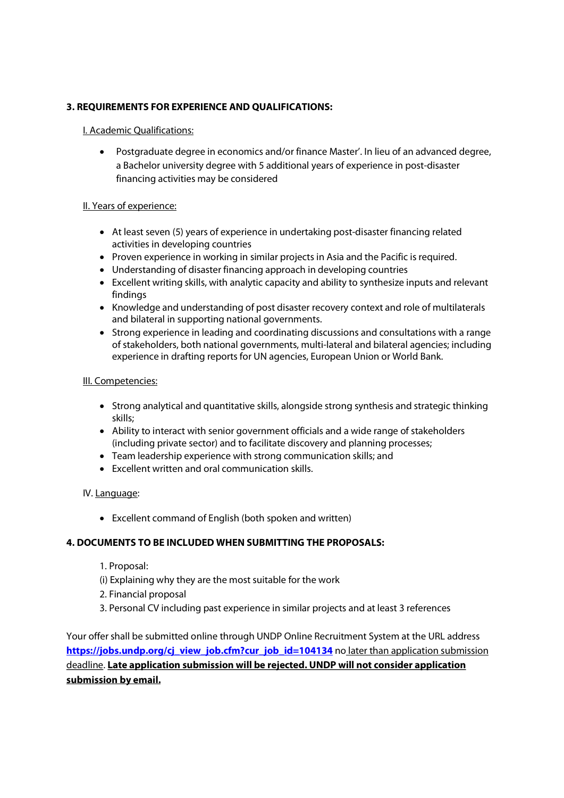### 3. REQUIREMENTS FOR EXPERIENCE AND QUALIFICATIONS:

### I. Academic Qualifications:

 Postgraduate degree in economics and/or finance Master'. In lieu of an advanced degree, a Bachelor university degree with 5 additional years of experience in post-disaster financing activities may be considered

### II. Years of experience:

- At least seven (5) years of experience in undertaking post-disaster financing related activities in developing countries
- Proven experience in working in similar projects in Asia and the Pacific is required.
- Understanding of disaster financing approach in developing countries
- Excellent writing skills, with analytic capacity and ability to synthesize inputs and relevant findings
- Knowledge and understanding of post disaster recovery context and role of multilaterals and bilateral in supporting national governments.
- Strong experience in leading and coordinating discussions and consultations with a range of stakeholders, both national governments, multi-lateral and bilateral agencies; including experience in drafting reports for UN agencies, European Union or World Bank.

### III. Competencies:

- Strong analytical and quantitative skills, alongside strong synthesis and strategic thinking skills;
- Ability to interact with senior government officials and a wide range of stakeholders (including private sector) and to facilitate discovery and planning processes;
- Team leadership experience with strong communication skills; and
- Excellent written and oral communication skills.

### IV. Language:

Excellent command of English (both spoken and written)

### 4. DOCUMENTS TO BE INCLUDED WHEN SUBMITTING THE PROPOSALS:

- 1. Proposal:
- (i) Explaining why they are the most suitable for the work
- 2. Financial proposal
- 3. Personal CV including past experience in similar projects and at least 3 references

Your offer shall be submitted online through UNDP Online Recruitment System at the URL address https://jobs.undp.org/cj\_view\_job.cfm?cur\_job\_id=104134 no later than application submission deadline. Late application submission will be rejected. UNDP will not consider application submission by email.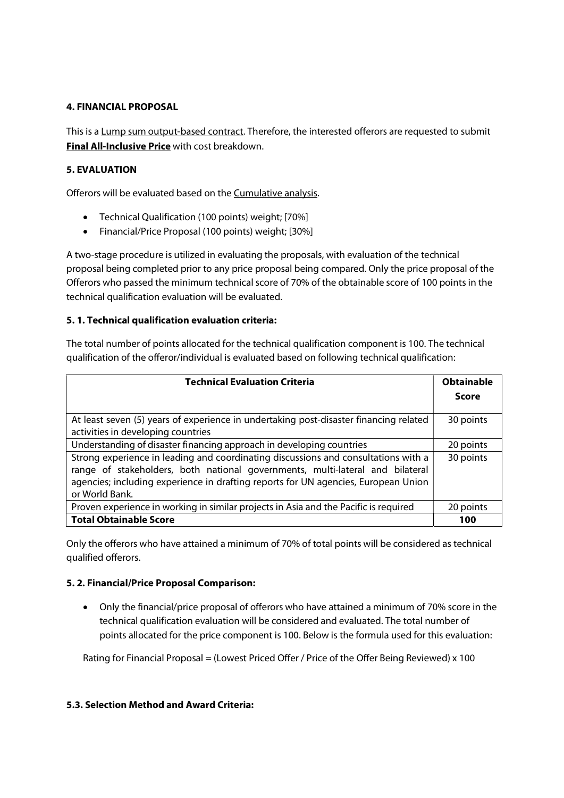### 4. FINANCIAL PROPOSAL

This is a Lump sum output-based contract. Therefore, the interested offerors are requested to submit Final All-Inclusive Price with cost breakdown.

### 5. EVALUATION

Offerors will be evaluated based on the Cumulative analysis.

- Technical Qualification (100 points) weight; [70%]
- Financial/Price Proposal (100 points) weight; [30%]

A two-stage procedure is utilized in evaluating the proposals, with evaluation of the technical proposal being completed prior to any price proposal being compared. Only the price proposal of the Offerors who passed the minimum technical score of 70% of the obtainable score of 100 points in the technical qualification evaluation will be evaluated.

### 5. 1. Technical qualification evaluation criteria:

The total number of points allocated for the technical qualification component is 100. The technical qualification of the offeror/individual is evaluated based on following technical qualification:

| <b>Technical Evaluation Criteria</b>                                                                                                                                                                                                                                        | <b>Obtainable</b> |
|-----------------------------------------------------------------------------------------------------------------------------------------------------------------------------------------------------------------------------------------------------------------------------|-------------------|
|                                                                                                                                                                                                                                                                             | Score             |
| At least seven (5) years of experience in undertaking post-disaster financing related<br>activities in developing countries                                                                                                                                                 | 30 points         |
| Understanding of disaster financing approach in developing countries                                                                                                                                                                                                        | 20 points         |
| Strong experience in leading and coordinating discussions and consultations with a<br>range of stakeholders, both national governments, multi-lateral and bilateral<br>agencies; including experience in drafting reports for UN agencies, European Union<br>or World Bank. | 30 points         |
| Proven experience in working in similar projects in Asia and the Pacific is required                                                                                                                                                                                        | 20 points         |
| <b>Total Obtainable Score</b>                                                                                                                                                                                                                                               | 100               |

Only the offerors who have attained a minimum of 70% of total points will be considered as technical qualified offerors.

### 5. 2. Financial/Price Proposal Comparison:

 Only the financial/price proposal of offerors who have attained a minimum of 70% score in the technical qualification evaluation will be considered and evaluated. The total number of points allocated for the price component is 100. Below is the formula used for this evaluation:

Rating for Financial Proposal = (Lowest Priced Offer / Price of the Offer Being Reviewed) x 100

### 5.3. Selection Method and Award Criteria: